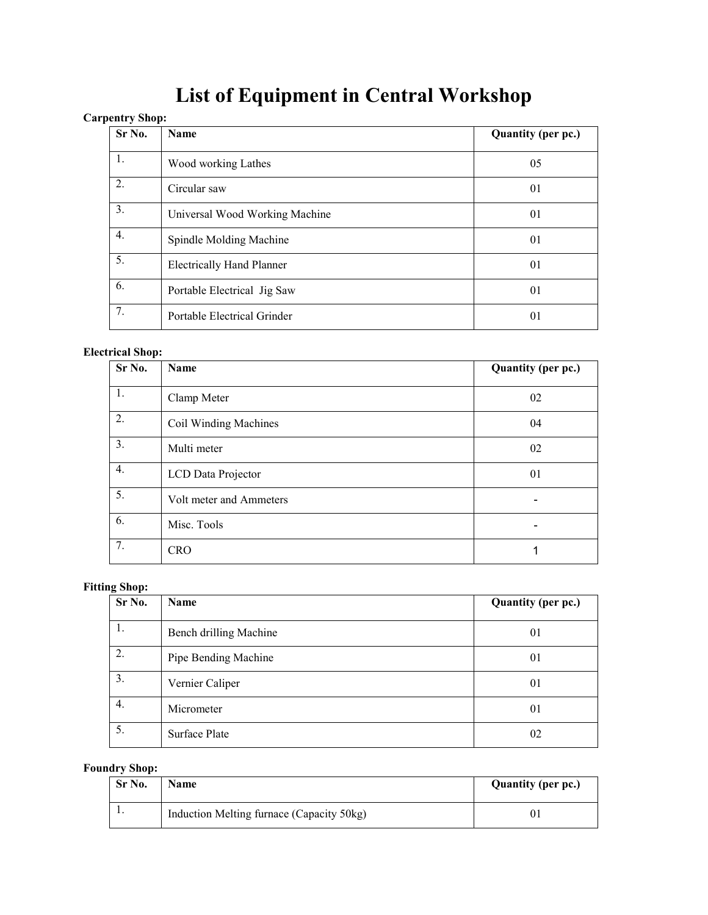# **List of Equipment in Central Workshop**

# **Carpentry Shop:**

| Sr No. | Name                             | <b>Quantity (per pc.)</b> |
|--------|----------------------------------|---------------------------|
| 1.     | Wood working Lathes              | 05                        |
| 2.     | Circular saw                     | 01                        |
| 3.     | Universal Wood Working Machine   | 01                        |
| 4.     | Spindle Molding Machine          | 01                        |
| 5.     | <b>Electrically Hand Planner</b> | 01                        |
| 6.     | Portable Electrical Jig Saw      | 01                        |
| 7.     | Portable Electrical Grinder      | 01                        |

#### **Electrical Shop:**

| Sr No. | Name                    | Quantity (per pc.) |
|--------|-------------------------|--------------------|
| 1.     | Clamp Meter             | 02                 |
| 2.     | Coil Winding Machines   | 04                 |
| 3.     | Multi meter             | 02                 |
| 4.     | LCD Data Projector      | 01                 |
| 5.     | Volt meter and Ammeters |                    |
| 6.     | Misc. Tools             |                    |
| 7.     | <b>CRO</b>              |                    |

## **Fitting Shop:**

| Sr No. | Name                   | Quantity (per pc.) |
|--------|------------------------|--------------------|
| 1.     | Bench drilling Machine | 01                 |
| 2.     | Pipe Bending Machine   | 01                 |
| 3.     | Vernier Caliper        | 01                 |
| 4.     | Micrometer             | 01                 |
| 5.     | <b>Surface Plate</b>   | 02                 |

#### **Foundry Shop:**

| Sr No. | <b>Name</b>                               | <b>Quantity (per pc.)</b> |
|--------|-------------------------------------------|---------------------------|
|        | Induction Melting furnace (Capacity 50kg) |                           |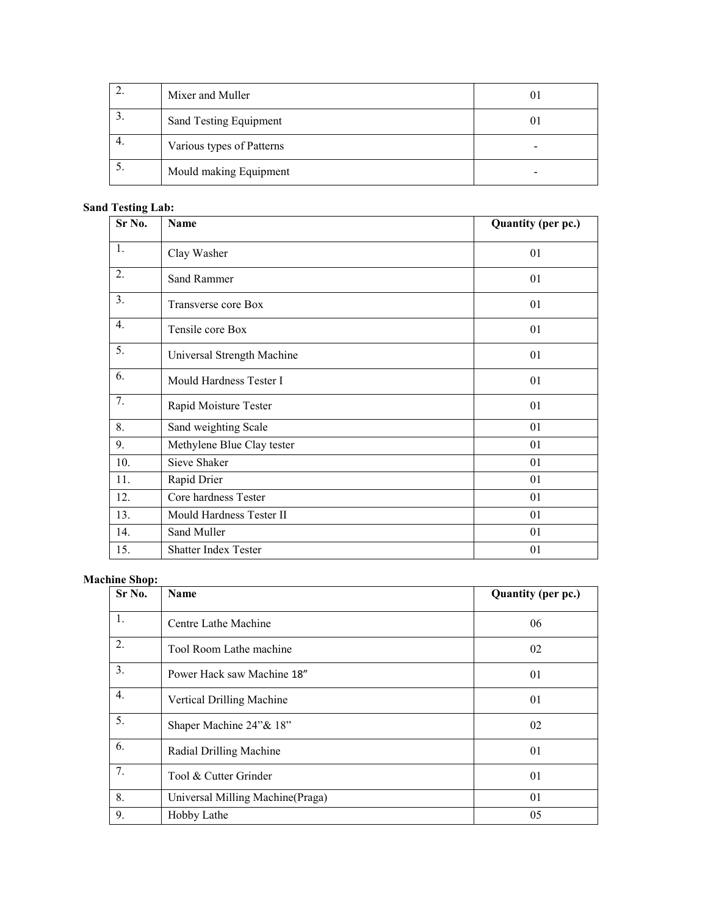| Mixer and Muller          |  |
|---------------------------|--|
| Sand Testing Equipment    |  |
| Various types of Patterns |  |
| Mould making Equipment    |  |

## **Sand Testing Lab:**

| Sr No.         | <b>Name</b>                | Quantity (per pc.) |
|----------------|----------------------------|--------------------|
| 1.             | Clay Washer                | 01                 |
| 2.             | Sand Rammer                | 01                 |
| 3 <sub>1</sub> | Transverse core Box        | 01                 |
| 4.             | Tensile core Box           | 01                 |
| 5.             | Universal Strength Machine | 01                 |
| 6.             | Mould Hardness Tester I    | 01                 |
| 7.             | Rapid Moisture Tester      | 01                 |
| 8.             | Sand weighting Scale       | 01                 |
| 9.             | Methylene Blue Clay tester | 01                 |
| 10.            | Sieve Shaker               | 01                 |
| 11.            | Rapid Drier                | 01                 |
| 12.            | Core hardness Tester       | 01                 |
| 13.            | Mould Hardness Tester II   | 01                 |
| 14.            | Sand Muller                | 01                 |
| 15.            | Shatter Index Tester       | 01                 |

#### **Machine Shop:**

| . <b>.</b> .<br>Sr No. | <b>Name</b>                       | Quantity (per pc.) |
|------------------------|-----------------------------------|--------------------|
| 1.                     | Centre Lathe Machine              | 06                 |
| 2.                     | Tool Room Lathe machine           | 02                 |
| 3.                     | Power Hack saw Machine 18"        | 01                 |
| 4.                     | Vertical Drilling Machine         | 01                 |
| 5.                     | Shaper Machine 24"& 18"           | 02                 |
| 6.                     | Radial Drilling Machine           | 01                 |
| 7.                     | Tool & Cutter Grinder             | 01                 |
| 8.                     | Universal Milling Machine (Praga) | 01                 |
| 9.                     | Hobby Lathe                       | 05                 |